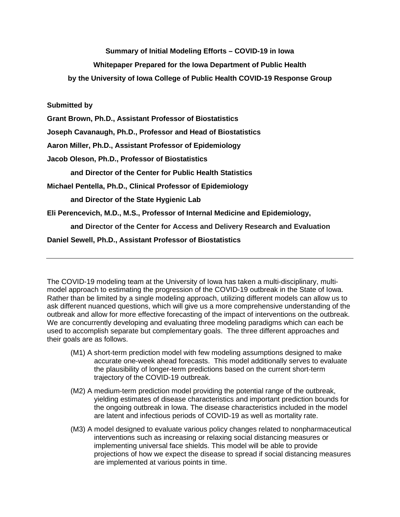## **Summary of Initial Modeling Efforts – COVID-19 in Iowa**

# **Whitepaper Prepared for the Iowa Department of Public Health**

**by the University of Iowa College of Public Health COVID-19 Response Group**

### **Submitted by**

**Grant Brown, Ph.D., Assistant Professor of Biostatistics**

**Joseph Cavanaugh, Ph.D., Professor and Head of Biostatistics**

**Aaron Miller, Ph.D., Assistant Professor of Epidemiology**

**Jacob Oleson, Ph.D., Professor of Biostatistics** 

**and Director of the Center for Public Health Statistics**

**Michael Pentella, Ph.D., Clinical Professor of Epidemiology** 

**and Director of the State Hygienic Lab**

**Eli Perencevich, M.D., M.S., Professor of Internal Medicine and Epidemiology,** 

**and Director of the Center for Access and Delivery Research and Evaluation**

**Daniel Sewell, Ph.D., Assistant Professor of Biostatistics**

The COVID-19 modeling team at the University of Iowa has taken a multi-disciplinary, multimodel approach to estimating the progression of the COVID-19 outbreak in the State of Iowa. Rather than be limited by a single modeling approach, utilizing different models can allow us to ask different nuanced questions, which will give us a more comprehensive understanding of the outbreak and allow for more effective forecasting of the impact of interventions on the outbreak. We are concurrently developing and evaluating three modeling paradigms which can each be used to accomplish separate but complementary goals. The three different approaches and their goals are as follows.

- (M1) A short-term prediction model with few modeling assumptions designed to make accurate one-week ahead forecasts. This model additionally serves to evaluate the plausibility of longer-term predictions based on the current short-term trajectory of the COVID-19 outbreak.
- (M2) A medium-term prediction model providing the potential range of the outbreak, yielding estimates of disease characteristics and important prediction bounds for the ongoing outbreak in Iowa. The disease characteristics included in the model are latent and infectious periods of COVID-19 as well as mortality rate.
- (M3) A model designed to evaluate various policy changes related to nonpharmaceutical interventions such as increasing or relaxing social distancing measures or implementing universal face shields. This model will be able to provide projections of how we expect the disease to spread if social distancing measures are implemented at various points in time.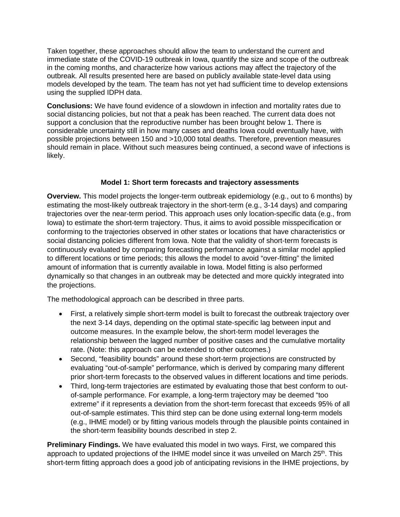Taken together, these approaches should allow the team to understand the current and immediate state of the COVID-19 outbreak in Iowa, quantify the size and scope of the outbreak in the coming months, and characterize how various actions may affect the trajectory of the outbreak. All results presented here are based on publicly available state-level data using models developed by the team. The team has not yet had sufficient time to develop extensions using the supplied IDPH data.

**Conclusions:** We have found evidence of a slowdown in infection and mortality rates due to social distancing policies, but not that a peak has been reached. The current data does not support a conclusion that the reproductive number has been brought below 1. There is considerable uncertainty still in how many cases and deaths Iowa could eventually have, with possible projections between 150 and >10,000 total deaths. Therefore, prevention measures should remain in place. Without such measures being continued, a second wave of infections is likely.

## **Model 1: Short term forecasts and trajectory assessments**

**Overview.** This model projects the longer-term outbreak epidemiology (e.g., out to 6 months) by estimating the most-likely outbreak trajectory in the short-term (e.g., 3-14 days) and comparing trajectories over the near-term period. This approach uses only location-specific data (e.g., from Iowa) to estimate the short-term trajectory. Thus, it aims to avoid possible misspecification or conforming to the trajectories observed in other states or locations that have characteristics or social distancing policies different from Iowa. Note that the validity of short-term forecasts is continuously evaluated by comparing forecasting performance against a similar model applied to different locations or time periods; this allows the model to avoid "over-fitting" the limited amount of information that is currently available in Iowa. Model fitting is also performed dynamically so that changes in an outbreak may be detected and more quickly integrated into the projections.

The methodological approach can be described in three parts.

- First, a relatively simple short-term model is built to forecast the outbreak trajectory over the next 3-14 days, depending on the optimal state-specific lag between input and outcome measures. In the example below, the short-term model leverages the relationship between the lagged number of positive cases and the cumulative mortality rate. (Note: this approach can be extended to other outcomes.)
- Second, "feasibility bounds" around these short-term projections are constructed by evaluating "out-of-sample" performance, which is derived by comparing many different prior short-term forecasts to the observed values in different locations and time periods.
- Third, long-term trajectories are estimated by evaluating those that best conform to outof-sample performance. For example, a long-term trajectory may be deemed "too extreme" if it represents a deviation from the short-term forecast that exceeds 95% of all out-of-sample estimates. This third step can be done using external long-term models (e.g., IHME model) or by fitting various models through the plausible points contained in the short-term feasibility bounds described in step 2.

**Preliminary Findings.** We have evaluated this model in two ways. First, we compared this approach to updated projections of the IHME model since it was unveiled on March  $25<sup>th</sup>$ . This short-term fitting approach does a good job of anticipating revisions in the IHME projections, by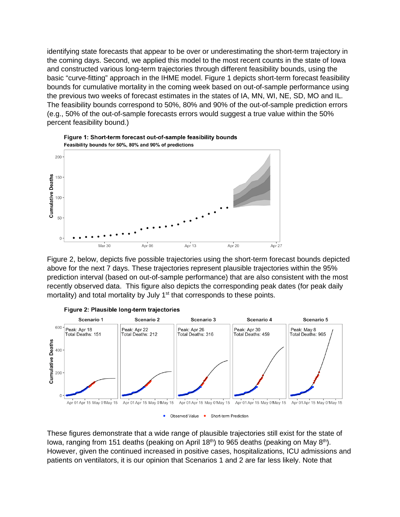identifying state forecasts that appear to be over or underestimating the short-term trajectory in the coming days. Second, we applied this model to the most recent counts in the state of Iowa and constructed various long-term trajectories through different feasibility bounds, using the basic "curve-fitting" approach in the IHME model. Figure 1 depicts short-term forecast feasibility bounds for cumulative mortality in the coming week based on out-of-sample performance using the previous two weeks of forecast estimates in the states of IA, MN, WI, NE, SD, MO and IL. The feasibility bounds correspond to 50%, 80% and 90% of the out-of-sample prediction errors (e.g., 50% of the out-of-sample forecasts errors would suggest a true value within the 50% percent feasibility bound.)



Figure 1: Short-term forecast out-of-sample feasibility bounds Feasibility bounds for 50%, 80% and 90% of predictions

Figure 2, below, depicts five possible trajectories using the short-term forecast bounds depicted above for the next 7 days. These trajectories represent plausible trajectories within the 95% prediction interval (based on out-of-sample performance) that are also consistent with the most recently observed data. This figure also depicts the corresponding peak dates (for peak daily mortality) and total mortality by July 1<sup>st</sup> that corresponds to these points.





These figures demonstrate that a wide range of plausible trajectories still exist for the state of Iowa, ranging from 151 deaths (peaking on April 18<sup>th</sup>) to 965 deaths (peaking on May 8<sup>th</sup>). However, given the continued increased in positive cases, hospitalizations, ICU admissions and patients on ventilators, it is our opinion that Scenarios 1 and 2 are far less likely. Note that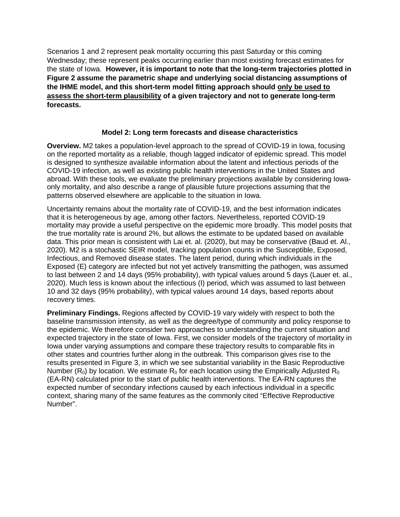Scenarios 1 and 2 represent peak mortality occurring this past Saturday or this coming Wednesday; these represent peaks occurring earlier than most existing forecast estimates for the state of Iowa. **However, it is important to note that the long-term trajectories plotted in Figure 2 assume the parametric shape and underlying social distancing assumptions of the IHME model, and this short-term model fitting approach should only be used to assess the short-term plausibility of a given trajectory and not to generate long-term forecasts.**

### **Model 2: Long term forecasts and disease characteristics**

**Overview.** M2 takes a population-level approach to the spread of COVID-19 in Iowa, focusing on the reported mortality as a reliable, though lagged indicator of epidemic spread. This model is designed to synthesize available information about the latent and infectious periods of the COVID-19 infection, as well as existing public health interventions in the United States and abroad. With these tools, we evaluate the preliminary projections available by considering Iowaonly mortality, and also describe a range of plausible future projections assuming that the patterns observed elsewhere are applicable to the situation in Iowa.

Uncertainty remains about the mortality rate of COVID-19, and the best information indicates that it is heterogeneous by age, among other factors. Nevertheless, reported COVID-19 mortality may provide a useful perspective on the epidemic more broadly. This model posits that the true mortality rate is around 2%, but allows the estimate to be updated based on available data. This prior mean is consistent with Lai et. al. (2020), but may be conservative (Baud et. Al., 2020). M2 is a stochastic SEIR model, tracking population counts in the Susceptible, Exposed, Infectious, and Removed disease states. The latent period, during which individuals in the Exposed (E) category are infected but not yet actively transmitting the pathogen, was assumed to last between 2 and 14 days (95% probability), with typical values around 5 days (Lauer et. al., 2020). Much less is known about the infectious (I) period, which was assumed to last between 10 and 32 days (95% probability), with typical values around 14 days, based reports about recovery times.

**Preliminary Findings.** Regions affected by COVID-19 vary widely with respect to both the baseline transmission intensity, as well as the degree/type of community and policy response to the epidemic. We therefore consider two approaches to understanding the current situation and expected trajectory in the state of Iowa. First, we consider models of the trajectory of mortality in Iowa under varying assumptions and compare these trajectory results to comparable fits in other states and countries further along in the outbreak. This comparison gives rise to the results presented in Figure 3, in which we see substantial variability in the Basic Reproductive Number (R<sub>0</sub>) by location. We estimate R<sub>0</sub> for each location using the Empirically Adjusted R<sub>0</sub> (EA-RN) calculated prior to the start of public health interventions. The EA-RN captures the expected number of secondary infections caused by each infectious individual in a specific context, sharing many of the same features as the commonly cited "Effective Reproductive Number".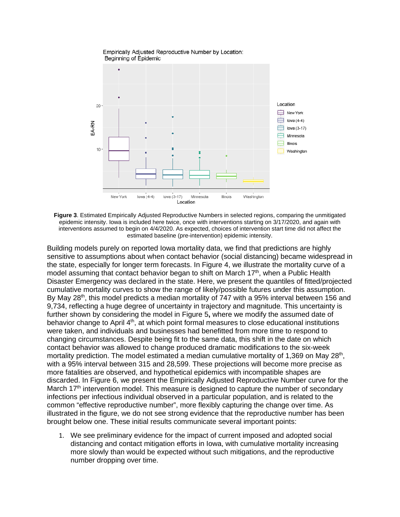

**Figure 3**. Estimated Empirically Adjusted Reproductive Numbers in selected regions, comparing the unmitigated epidemic intensity. Iowa is included here twice, once with interventions starting on 3/17/2020, and again with interventions assumed to begin on 4/4/2020. As expected, choices of intervention start time did not affect the estimated baseline (pre-intervention) epidemic intensity.

Building models purely on reported Iowa mortality data, we find that predictions are highly sensitive to assumptions about when contact behavior (social distancing) became widespread in the state, especially for longer term forecasts. In Figure 4, we illustrate the mortality curve of a model assuming that contact behavior began to shift on March  $17<sup>th</sup>$ , when a Public Health Disaster Emergency was declared in the state. Here, we present the quantiles of fitted/projected cumulative mortality curves to show the range of likely/possible futures under this assumption. By May 28<sup>th</sup>, this model predicts a median mortality of 747 with a 95% interval between 156 and 9,734, reflecting a huge degree of uncertainty in trajectory and magnitude. This uncertainty is further shown by considering the model in Figure 5**,** where we modify the assumed date of behavior change to April  $4<sup>th</sup>$ , at which point formal measures to close educational institutions were taken, and individuals and businesses had benefitted from more time to respond to changing circumstances. Despite being fit to the same data, this shift in the date on which contact behavior was allowed to change produced dramatic modifications to the six-week mortality prediction. The model estimated a median cumulative mortality of 1,369 on May 28<sup>th</sup>, with a 95% interval between 315 and 28,599. These projections will become more precise as more fatalities are observed, and hypothetical epidemics with incompatible shapes are discarded. In Figure 6, we present the Empirically Adjusted Reproductive Number curve for the March  $17<sup>th</sup>$  intervention model. This measure is designed to capture the number of secondary infections per infectious individual observed in a particular population, and is related to the common "effective reproductive number", more flexibly capturing the change over time. As illustrated in the figure, we do not see strong evidence that the reproductive number has been brought below one. These initial results communicate several important points:

1. We see preliminary evidence for the impact of current imposed and adopted social distancing and contact mitigation efforts in Iowa, with cumulative mortality increasing more slowly than would be expected without such mitigations, and the reproductive number dropping over time.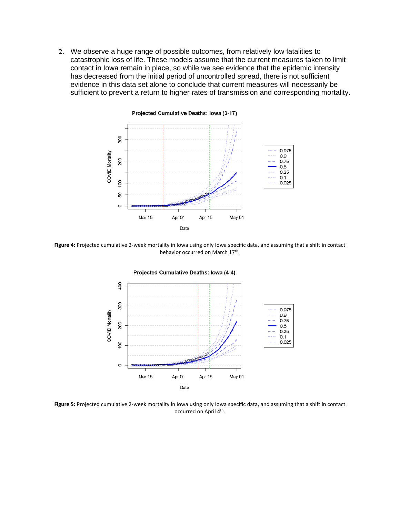2. We observe a huge range of possible outcomes, from relatively low fatalities to catastrophic loss of life. These models assume that the current measures taken to limit contact in Iowa remain in place, so while we see evidence that the epidemic intensity has decreased from the initial period of uncontrolled spread, there is not sufficient evidence in this data set alone to conclude that current measures will necessarily be sufficient to prevent a return to higher rates of transmission and corresponding mortality.



**Figure 4:** Projected cumulative 2-week mortality in Iowa using only Iowa specific data, and assuming that a shift in contact behavior occurred on March 17th.



**Figure 5:** Projected cumulative 2-week mortality in Iowa using only Iowa specific data, and assuming that a shift in contact occurred on April 4th.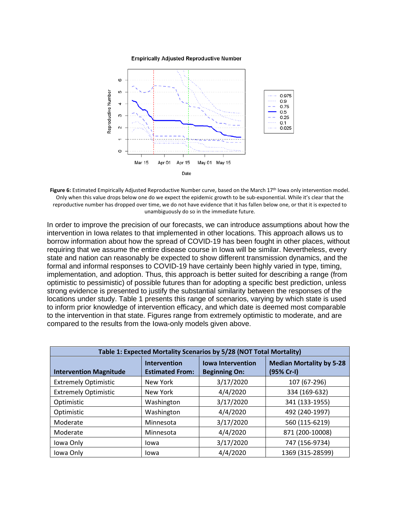**Empirically Adjusted Reproductive Number** 



Figure 6: Estimated Empirically Adjusted Reproductive Number curve, based on the March 17<sup>th</sup> Iowa only intervention model. Only when this value drops below one do we expect the epidemic growth to be sub-exponential. While it's clear that the reproductive number has dropped over time, we do not have evidence that it has fallen below one, or that it is expected to unambiguously do so in the immediate future.

In order to improve the precision of our forecasts, we can introduce assumptions about how the intervention in Iowa relates to that implemented in other locations. This approach allows us to borrow information about how the spread of COVID-19 has been fought in other places, without requiring that we assume the entire disease course in Iowa will be similar. Nevertheless, every state and nation can reasonably be expected to show different transmission dynamics, and the formal and informal responses to COVID-19 have certainly been highly varied in type, timing, implementation, and adoption. Thus, this approach is better suited for describing a range (from optimistic to pessimistic) of possible futures than for adopting a specific best prediction, unless strong evidence is presented to justify the substantial similarity between the responses of the locations under study. Table 1 presents this range of scenarios, varying by which state is used to inform prior knowledge of intervention efficacy, and which date is deemed most comparable to the intervention in that state. Figures range from extremely optimistic to moderate, and are compared to the results from the Iowa-only models given above.

| Table 1: Expected Mortality Scenarios by 5/28 (NOT Total Mortality) |                                               |                                                  |                                               |
|---------------------------------------------------------------------|-----------------------------------------------|--------------------------------------------------|-----------------------------------------------|
| <b>Intervention Magnitude</b>                                       | <b>Intervention</b><br><b>Estimated From:</b> | <b>Iowa Intervention</b><br><b>Beginning On:</b> | <b>Median Mortality by 5-28</b><br>(95% Cr-I) |
| <b>Extremely Optimistic</b>                                         | New York                                      | 3/17/2020                                        | 107 (67-296)                                  |
| <b>Extremely Optimistic</b>                                         | New York                                      | 4/4/2020                                         | 334 (169-632)                                 |
| Optimistic                                                          | Washington                                    | 3/17/2020                                        | 341 (133-1955)                                |
| Optimistic                                                          | Washington                                    | 4/4/2020                                         | 492 (240-1997)                                |
| Moderate                                                            | Minnesota                                     | 3/17/2020                                        | 560 (115-6219)                                |
| Moderate                                                            | Minnesota                                     | 4/4/2020                                         | 871 (200-10008)                               |
| Iowa Only                                                           | Iowa                                          | 3/17/2020                                        | 747 (156-9734)                                |
| Iowa Only                                                           | lowa                                          | 4/4/2020                                         | 1369 (315-28599)                              |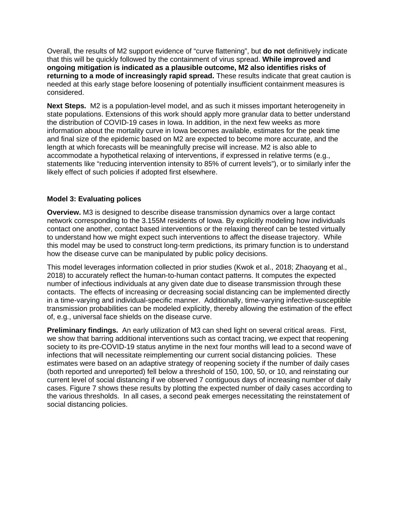Overall, the results of M2 support evidence of "curve flattening", but **do not** definitively indicate that this will be quickly followed by the containment of virus spread. **While improved and ongoing mitigation is indicated as a plausible outcome, M2 also identifies risks of returning to a mode of increasingly rapid spread.** These results indicate that great caution is needed at this early stage before loosening of potentially insufficient containment measures is considered.

**Next Steps.** M2 is a population-level model, and as such it misses important heterogeneity in state populations. Extensions of this work should apply more granular data to better understand the distribution of COVID-19 cases in Iowa. In addition, in the next few weeks as more information about the mortality curve in Iowa becomes available, estimates for the peak time and final size of the epidemic based on M2 are expected to become more accurate, and the length at which forecasts will be meaningfully precise will increase. M2 is also able to accommodate a hypothetical relaxing of interventions, if expressed in relative terms (e.g., statements like "reducing intervention intensity to 85% of current levels"), or to similarly infer the likely effect of such policies if adopted first elsewhere.

#### **Model 3: Evaluating polices**

**Overview.** M3 is designed to describe disease transmission dynamics over a large contact network corresponding to the 3.155M residents of Iowa. By explicitly modeling how individuals contact one another, contact based interventions or the relaxing thereof can be tested virtually to understand how we might expect such interventions to affect the disease trajectory. While this model may be used to construct long-term predictions, its primary function is to understand how the disease curve can be manipulated by public policy decisions.

This model leverages information collected in prior studies (Kwok et al., 2018; Zhaoyang et al., 2018) to accurately reflect the human-to-human contact patterns. It computes the expected number of infectious individuals at any given date due to disease transmission through these contacts. The effects of increasing or decreasing social distancing can be implemented directly in a time-varying and individual-specific manner. Additionally, time-varying infective-susceptible transmission probabilities can be modeled explicitly, thereby allowing the estimation of the effect of, e.g., universal face shields on the disease curve.

**Preliminary findings.** An early utilization of M3 can shed light on several critical areas. First, we show that barring additional interventions such as contact tracing, we expect that reopening society to its pre-COVID-19 status anytime in the next four months will lead to a second wave of infections that will necessitate reimplementing our current social distancing policies. These estimates were based on an adaptive strategy of reopening society if the number of daily cases (both reported and unreported) fell below a threshold of 150, 100, 50, or 10, and reinstating our current level of social distancing if we observed 7 contiguous days of increasing number of daily cases. Figure 7 shows these results by plotting the expected number of daily cases according to the various thresholds. In all cases, a second peak emerges necessitating the reinstatement of social distancing policies.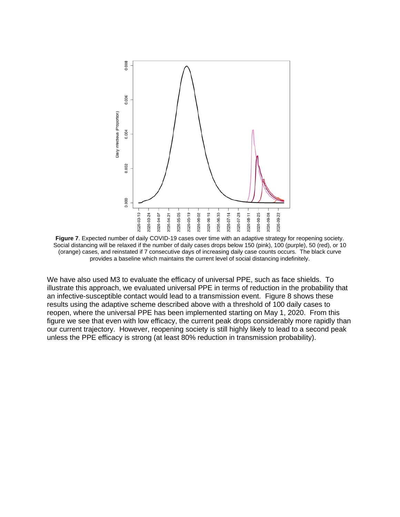

**Figure 7**. Expected number of daily COVID-19 cases over time with an adaptive strategy for reopening society. Social distancing will be relaxed if the number of daily cases drops below 150 (pink), 100 (purple), 50 (red), or 10 (orange) cases, and reinstated if 7 consecutive days of increasing daily case counts occurs. The black curve provides a baseline which maintains the current level of social distancing indefinitely.

We have also used M3 to evaluate the efficacy of universal PPE, such as face shields. To illustrate this approach, we evaluated universal PPE in terms of reduction in the probability that an infective-susceptible contact would lead to a transmission event. Figure 8 shows these results using the adaptive scheme described above with a threshold of 100 daily cases to reopen, where the universal PPE has been implemented starting on May 1, 2020. From this figure we see that even with low efficacy, the current peak drops considerably more rapidly than our current trajectory. However, reopening society is still highly likely to lead to a second peak unless the PPE efficacy is strong (at least 80% reduction in transmission probability).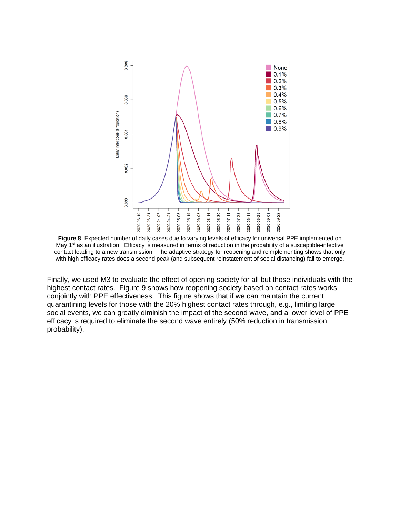

**Figure 8**. Expected number of daily cases due to varying levels of efficacy for universal PPE implemented on May 1<sup>st</sup> as an illustration. Efficacy is measured in terms of reduction in the probability of a susceptible-infective contact leading to a new transmission. The adaptive strategy for reopening and reimplementing shows that only with high efficacy rates does a second peak (and subsequent reinstatement of social distancing) fail to emerge.

Finally, we used M3 to evaluate the effect of opening society for all but those individuals with the highest contact rates. Figure 9 shows how reopening society based on contact rates works conjointly with PPE effectiveness. This figure shows that if we can maintain the current quarantining levels for those with the 20% highest contact rates through, e.g., limiting large social events, we can greatly diminish the impact of the second wave, and a lower level of PPE efficacy is required to eliminate the second wave entirely (50% reduction in transmission probability).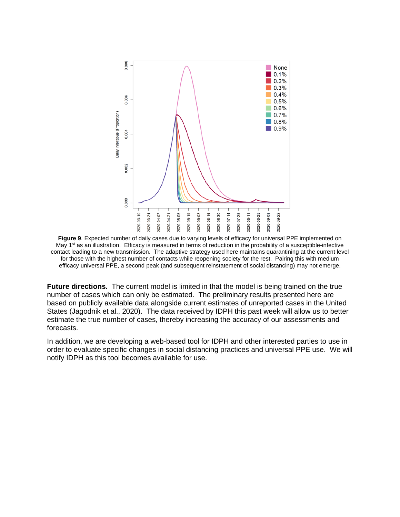

**Figure 9**. Expected number of daily cases due to varying levels of efficacy for universal PPE implemented on May 1<sup>st</sup> as an illustration. Efficacy is measured in terms of reduction in the probability of a susceptible-infective contact leading to a new transmission. The adaptive strategy used here maintains quarantining at the current level for those with the highest number of contacts while reopening society for the rest. Pairing this with medium efficacy universal PPE, a second peak (and subsequent reinstatement of social distancing) may not emerge.

**Future directions.** The current model is limited in that the model is being trained on the true number of cases which can only be estimated. The preliminary results presented here are based on publicly available data alongside current estimates of unreported cases in the United States (Jagodnik et al., 2020). The data received by IDPH this past week will allow us to better estimate the true number of cases, thereby increasing the accuracy of our assessments and forecasts.

In addition, we are developing a web-based tool for IDPH and other interested parties to use in order to evaluate specific changes in social distancing practices and universal PPE use. We will notify IDPH as this tool becomes available for use.